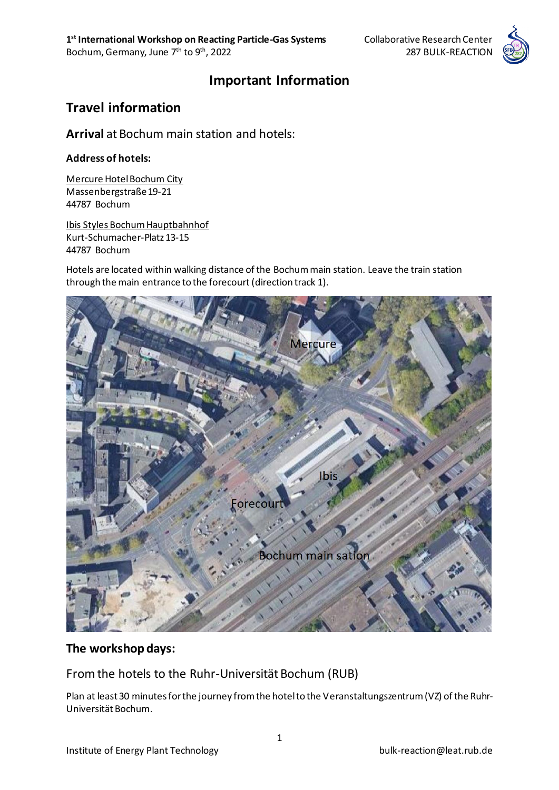

### **Important Information**

# **Travel information**

**Arrival** at Bochum main station and hotels:

#### **Address of hotels:**

Mercure Hotel Bochum City Massenbergstraße 19-21 44787 Bochum

Ibis Styles Bochum Hauptbahnhof Kurt-Schumacher-Platz 13-15 44787 Bochum

Hotels are located within walking distance of the Bochum main station. Leave the train station through the main entrance to the forecourt (direction track 1).



### **The workshop days:**

From the hotels to the Ruhr-Universität Bochum (RUB)

Plan at least 30 minutes for the journey from the hotel to the Veranstaltungszentrum (VZ) of the Ruhr-Universität Bochum.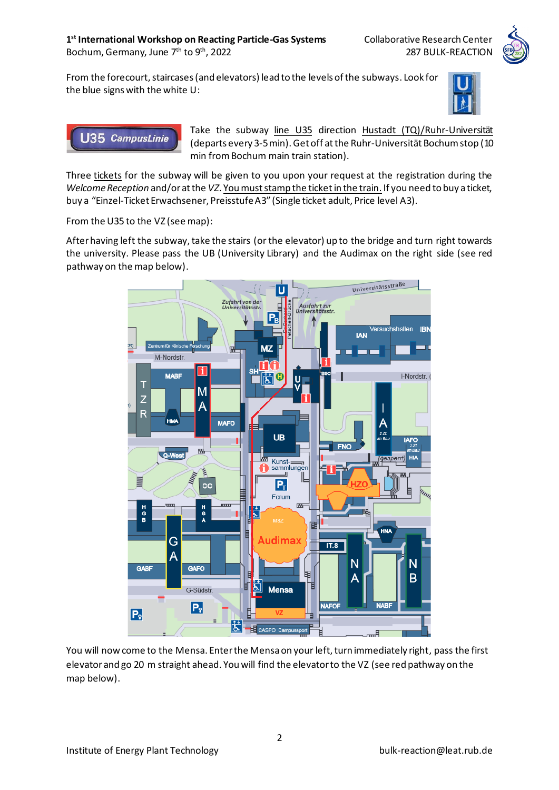From the forecourt, staircases (and elevators) lead to the levels of the subways. Look for the blue signs with the white U:





Take the subway line U35 direction Hustadt (TQ)/Ruhr-Universität (departs every 3-5 min).Get off at the Ruhr-Universität Bochum stop (10 min from Bochum main train station).

Three tickets for the subway will be given to you upon your request at the registration during the *Welcome Reception* and/or at the *VZ*. You must stamp the ticketin the train. If you need to buy a ticket, buy a "Einzel-Ticket Erwachsener, Preisstufe A3" (Single ticket adult, Price level A3).

From the U35 to the VZ (see map):

After having left the subway, take the stairs (or the elevator) up to the bridge and turn right towards the university. Please pass the UB (University Library) and the Audimax on the right side (see red pathway on the map below).



You will now come to the Mensa. Enter the Mensa on your left, turn immediately right, pass the first elevator and go 20 m straight ahead. You will find the elevator to the VZ (see red pathway on the map below).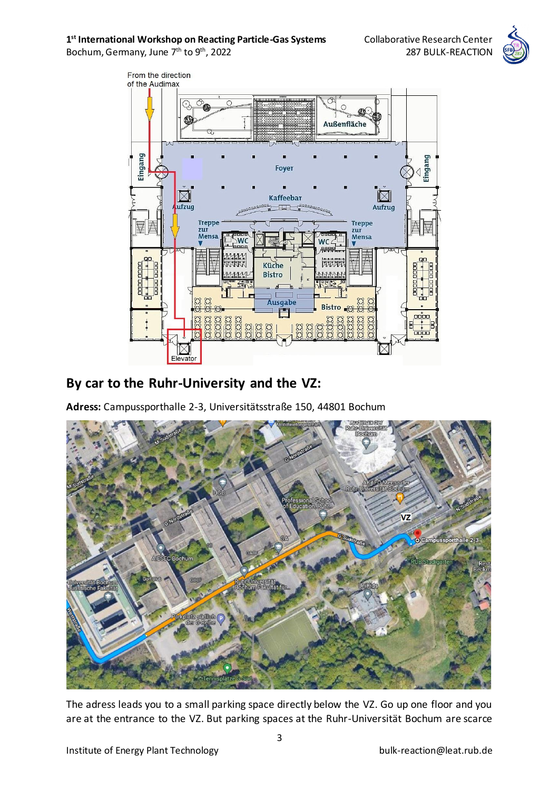#### **1<sup>st</sup> International Workshop on Reacting Particle-Gas Systems Collaborative Research Center**



Bochum, Germany, June 7<sup>th</sup> to 9<sup>th</sup>, 2022 287 BULK-REACTION



# **By car to the Ruhr-University and the VZ:**

**Adress:** Campussporthalle 2-3, Universitätsstraße 150, 44801 Bochum



The adress leads you to a small parking space directly below the VZ. Go up one floor and you are at the entrance to the VZ. But parking spaces at the Ruhr-Universität Bochum are scarce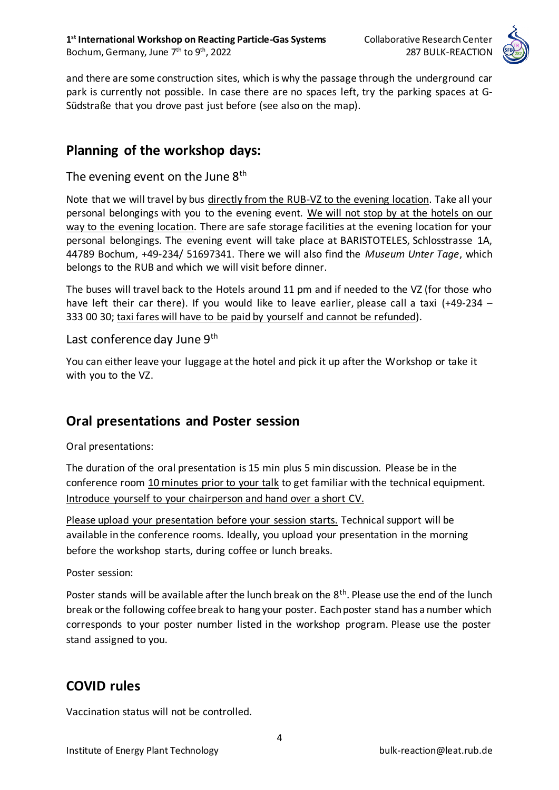

and there are some construction sites, which is why the passage through the underground car park is currently not possible. In case there are no spaces left, try the parking spaces at G-Südstraße that you drove past just before (see also on the map).

### **Planning of the workshop days:**

#### The evening event on the June  $8<sup>th</sup>$

Note that we will travel by bus directly from the RUB-VZ to the evening location. Take all your personal belongings with you to the evening event. We will not stop by at the hotels on our way to the evening location. There are safe storage facilities at the evening location for your personal belongings. The evening event will take place at BARISTOTELES, Schlosstrasse 1A, 44789 Bochum, +49-234/ 51697341. There we will also find the *Museum Unter Tage*, which belongs to the RUB and which we will visit before dinner.

The buses will travel back to the Hotels around 11 pm and if needed to the VZ (for those who have left their car there). If you would like to leave earlier, please call a taxi (+49-234 – 333 00 30; taxi fares will have to be paid by yourself and cannot be refunded).

#### Last conference day June 9<sup>th</sup>

You can either leave your luggage at the hotel and pick it up after the Workshop or take it with you to the VZ.

## **Oral presentations and Poster session**

Oral presentations:

The duration of the oral presentation is 15 min plus 5 min discussion. Please be in the conference room 10 minutes prior to your talk to get familiar with the technical equipment. Introduce yourself to your chairperson and hand over a short CV.

Please upload your presentation before your session starts. Technical support will be available in the conference rooms. Ideally, you upload your presentation in the morning before the workshop starts, during coffee or lunch breaks.

Poster session:

Poster stands will be available after the lunch break on the 8<sup>th</sup>. Please use the end of the lunch break or the following coffee break to hang your poster. Each poster stand has a number which corresponds to your poster number listed in the workshop program. Please use the poster stand assigned to you.

## **COVID rules**

Vaccination status will not be controlled.